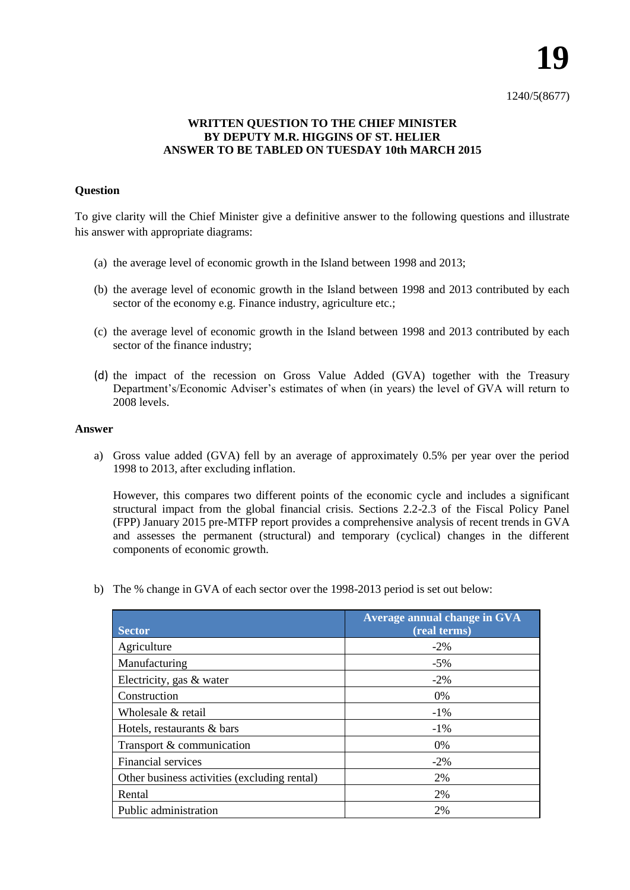1240/5(8677)

## **WRITTEN QUESTION TO THE CHIEF MINISTER BY DEPUTY M.R. HIGGINS OF ST. HELIER ANSWER TO BE TABLED ON TUESDAY 10th MARCH 2015**

## **Question**

To give clarity will the Chief Minister give a definitive answer to the following questions and illustrate his answer with appropriate diagrams:

- (a) the average level of economic growth in the Island between 1998 and 2013;
- (b) the average level of economic growth in the Island between 1998 and 2013 contributed by each sector of the economy e.g. Finance industry, agriculture etc.;
- (c) the average level of economic growth in the Island between 1998 and 2013 contributed by each sector of the finance industry;
- (d) the impact of the recession on Gross Value Added (GVA) together with the Treasury Department's/Economic Adviser's estimates of when (in years) the level of GVA will return to 2008 levels.

## **Answer**

a) Gross value added (GVA) fell by an average of approximately 0.5% per year over the period 1998 to 2013, after excluding inflation.

However, this compares two different points of the economic cycle and includes a significant structural impact from the global financial crisis. Sections 2.2-2.3 of the Fiscal Policy Panel (FPP) January 2015 pre-MTFP report provides a comprehensive analysis of recent trends in GVA and assesses the permanent (structural) and temporary (cyclical) changes in the different components of economic growth.

b) The % change in GVA of each sector over the 1998-2013 period is set out below:

| <b>Sector</b>                                | Average annual change in GVA<br>(real terms) |
|----------------------------------------------|----------------------------------------------|
| Agriculture                                  | $-2\%$                                       |
| Manufacturing                                | $-5\%$                                       |
| Electricity, gas & water                     | $-2\%$                                       |
| Construction                                 | 0%                                           |
| Wholesale & retail                           | $-1\%$                                       |
| Hotels, restaurants & bars                   | $-1\%$                                       |
| Transport & communication                    | 0%                                           |
| Financial services                           | $-2\%$                                       |
| Other business activities (excluding rental) | 2%                                           |
| Rental                                       | 2%                                           |
| Public administration                        | 2%                                           |